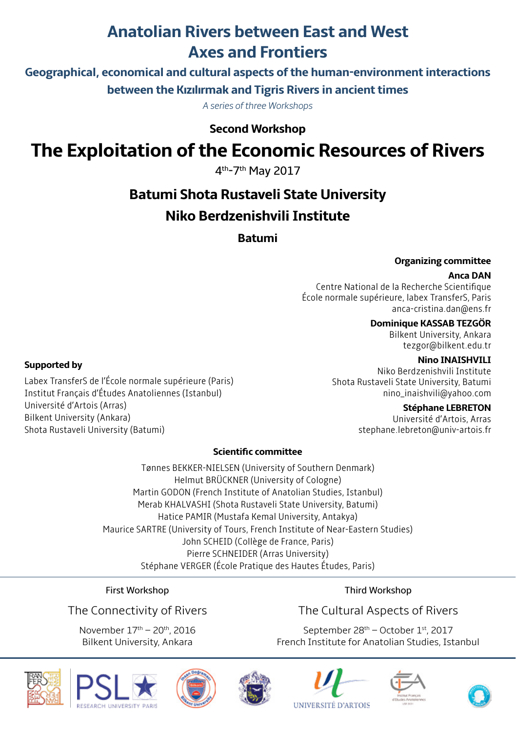# **Anatolian Rivers between East and West Axes and Frontiers**

**Geographical, economical and cultural aspects of the human-environment interactions between the Kızılırmak and Tigris Rivers in ancient times**

*A series of three Workshops*

**Second Workshop**

# **The Exploitation of the Economic Resources of Rivers**

4th-7th May 2017

# **Batumi Shota Rustaveli State University Niko Berdzenishvili Institute**

**Batumi**

#### **Organizing committee**

#### **Anca DAN**

Centre National de la Recherche Scientifique École normale supérieure, labex TransferS, Paris anca-cristina.dan@ens.fr

## **Dominique KASSAB TEZGÖR**

Bilkent University, Ankara tezgor@bilkent.edu.tr

#### **Nino INAISHVILI**

Niko Berdzenishvili Institute Shota Rustaveli State University, Batumi nino\_inaishvili@yahoo.com

#### **Stéphane LEBRETON**

Université d'Artois, Arras stephane.lebreton@univ-artois.fr

# **Scientific committee**

Tønnes BEKKER-NIELSEN (University of Southern Denmark) Helmut BRÜCKNER (University of Cologne) Martin GODON (French Institute of Anatolian Studies, Istanbul) Merab KHALVASHI (Shota Rustaveli State University, Batumi) Hatice PAMIR (Mustafa Kemal University, Antakya) Maurice SARTRE (University of Tours, French Institute of Near-Eastern Studies) John SCHEID (Collège de France, Paris) Pierre SCHNEIDER (Arras University) Stéphane VERGER (École Pratique des Hautes Études, Paris)

## First Workshop

The Connectivity of Rivers

November 17th – 20th, 2016 Bilkent University, Ankara

## Third Workshop

# The Cultural Aspects of Rivers

September 28<sup>th</sup> – October 1st, 2017 French Institute for Anatolian Studies, Istanbul















**Supported by** 

Labex TransferS de l'École normale supérieure (Paris) Institut Français d'Études Anatoliennes (Istanbul) Université d'Artois (Arras) Bilkent University (Ankara) Shota Rustaveli University (Batumi)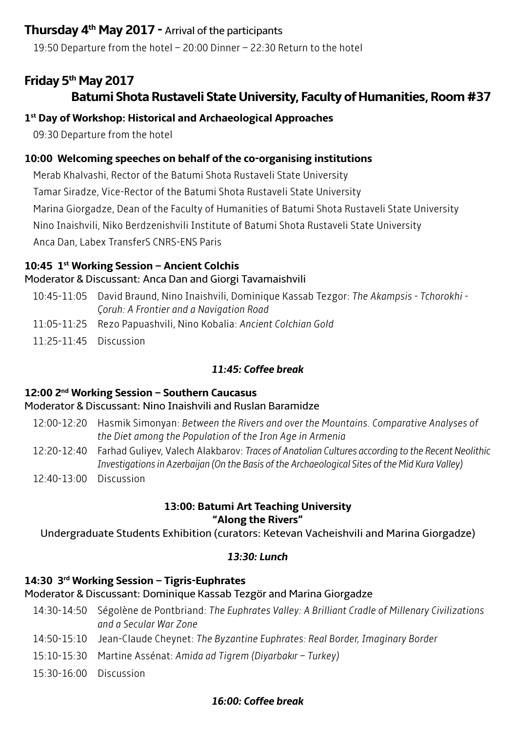# **Thursday 4th May 2017 -** Arrival of the participants

19:50 Departure from the hotel – 20:00 Dinner – 22:30 Return to the hotel

# **Friday 5th May 2017**

# **Batumi Shota Rustaveli State University, Faculty of Humanities, Room #37**

# **1st Day of Workshop: Historical and Archaeological Approaches**

09:30 Departure from the hotel

# **10:00 Welcoming speeches on behalf of the co-organising institutions**

Merab Khalvashi, Rector of the Batumi Shota Rustaveli State University Tamar Siradze, Vice-Rector of the Batumi Shota Rustaveli State University Marina Giorgadze, Dean of the Faculty of Humanities of Batumi Shota Rustaveli State University Nino Inaishvili, Niko Berdzenishvili Institute of Batumi Shota Rustaveli State University Anca Dan, Labex TransferS CNRS-ENS Paris

# **10:45 1st Working Session – Ancient Colchis**

# Moderator & Discussant: Anca Dan and Giorgi Tavamaishvili

- 10:45-11:05 David Braund, Nino Inaishvili, Dominique Kassab Tezgor: *The Akampsis Tchorokhi Çoruh: A Frontier and a Navigation Road*
- 11:05-11:25 Rezo Papuashvili, Nino Kobalia: *Ancient Colchian Gold*
- 11:25-11:45 Discussion

# *11:45: Coffee break*

# **12:00 2nd Working Session – Southern Caucasus**

# Moderator & Discussant: Nino Inaishvili and Ruslan Baramidze

- 12:00-12:20 Hasmik Simonyan: *Between the Rivers and over the Mountains. Comparative Analyses of the Diet among the Population of the Iron Age in Armenia*
- 12:20-12:40 Farhad Guliyev, Valech Alakbarov: *Traces of Anatolian Cultures according to the Recent Neolithic Investigations in Azerbaijan (On the Basis of the Archaeological Sites of the Mid Kura Valley)*
- 12:40-13:00 Discussion

## **13:00: Batumi Art Teaching University "Along the Rivers"**

Undergraduate Students Exhibition (curators: Ketevan Vacheishvili and Marina Giorgadze)

# *13:30: Lunch*

# **14:30 3rd Working Session – Tigris-Euphrates**

# Moderator & Discussant: Dominique Kassab Tezgör and Marina Giorgadze

- 14:30-14:50 Ségolène de Pontbriand: *The Euphrates Valley: A Brilliant Cradle of Millenary Civilizations and a Secular War Zone*
- 14:50-15:10 Jean-Claude Cheynet: *The Byzantine Euphrates: Real Border, Imaginary Border*
- 15:10-15:30 Martine Assénat: *Amida ad Tigrem (Diyarbakır Turkey)*
- 15:30-16:00 Discussion

# *16:00: Coffee break*